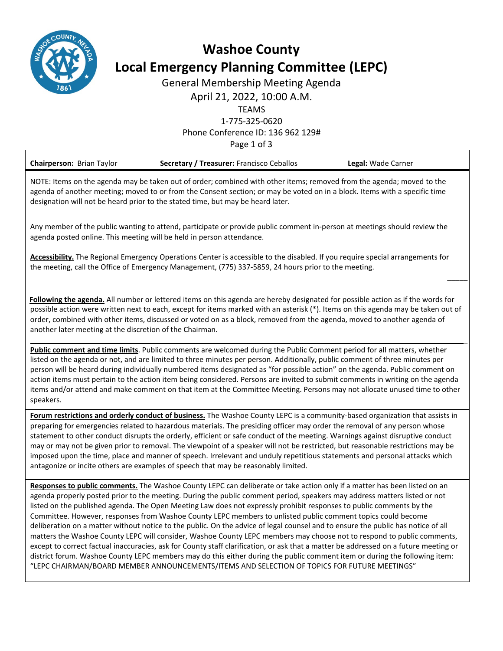

# **Washoe County Local Emergency Planning Committee (LEPC)**

General Membership Meeting Agenda

April 21, 2022, 10:00 A.M.

TEAMS

1-775-325-0620

Phone Conference ID: 136 962 129#

Page 1 of 3

| <b>Chairperson: Brian Taylor</b>                                                                                                                                                                                                                                                                                                       | Secretary / Treasurer: Francisco Ceballos | Legal: Wade Carner |
|----------------------------------------------------------------------------------------------------------------------------------------------------------------------------------------------------------------------------------------------------------------------------------------------------------------------------------------|-------------------------------------------|--------------------|
| NOTE: Items on the agenda may be taken out of order; combined with other items; removed from the agenda; moved to the<br>agenda of another meeting; moved to or from the Consent section; or may be voted on in a block. Items with a specific time<br>designation will not be heard prior to the stated time, but may be heard later. |                                           |                    |

Any member of the public wanting to attend, participate or provide public comment in-person at meetings should review the agenda posted online. This meeting will be held in person attendance.

**Accessibility.** The Regional Emergency Operations Center is accessible to the disabled. If you require special arrangements for the meeting, call the Office of Emergency Management, (775) 337-5859, 24 hours prior to the meeting.

 **Following the agenda.** All number or lettered items on this agenda are hereby designated for possible action as if the words for possible action were written next to each, except for items marked with an asterisk (\*). Items on this agenda may be taken out of order, combined with other items, discussed or voted on as a block, removed from the agenda, moved to another agenda of another later meeting at the discretion of the Chairman.

 $\overline{\phantom{a}}$ 

 $\overline{\phantom{a}}$ 

**Public comment and time limits**. Public comments are welcomed during the Public Comment period for all matters, whether listed on the agenda or not, and are limited to three minutes per person. Additionally, public comment of three minutes per person will be heard during individually numbered items designated as "for possible action" on the agenda. Public comment on action items must pertain to the action item being considered. Persons are invited to submit comments in writing on the agenda items and/or attend and make comment on that item at the Committee Meeting. Persons may not allocate unused time to other speakers.

**Forum restrictions and orderly conduct of business.** The Washoe County LEPC is a community-based organization that assists in preparing for emergencies related to hazardous materials. The presiding officer may order the removal of any person whose statement to other conduct disrupts the orderly, efficient or safe conduct of the meeting. Warnings against disruptive conduct may or may not be given prior to removal. The viewpoint of a speaker will not be restricted, but reasonable restrictions may be imposed upon the time, place and manner of speech. Irrelevant and unduly repetitious statements and personal attacks which antagonize or incite others are examples of speech that may be reasonably limited.

**Responses to public comments.** The Washoe County LEPC can deliberate or take action only if a matter has been listed on an agenda properly posted prior to the meeting. During the public comment period, speakers may address matters listed or not listed on the published agenda. The Open Meeting Law does not expressly prohibit responses to public comments by the Committee. However, responses from Washoe County LEPC members to unlisted public comment topics could become deliberation on a matter without notice to the public. On the advice of legal counsel and to ensure the public has notice of all matters the Washoe County LEPC will consider, Washoe County LEPC members may choose not to respond to public comments, except to correct factual inaccuracies, ask for County staff clarification, or ask that a matter be addressed on a future meeting or district forum. Washoe County LEPC members may do this either during the public comment item or during the following item: "LEPC CHAIRMAN/BOARD MEMBER ANNOUNCEMENTS/ITEMS AND SELECTION OF TOPICS FOR FUTURE MEETINGS"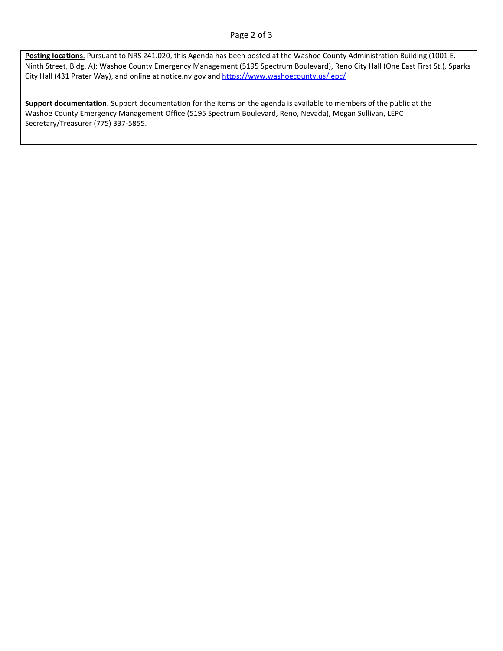#### Page 2 of 3

**Posting locations**. Pursuant to NRS 241.020, this Agenda has been posted at the Washoe County Administration Building (1001 E. Ninth Street, Bldg. A); Washoe County Emergency Management (5195 Spectrum Boulevard), Reno City Hall (One East First St.), Sparks City Hall (431 Prater Way), and online at notice.nv.gov an[d https://www.washoecounty.us/lepc/](https://www.washoecounty.us/lepc/)

**Support documentation.** Support documentation for the items on the agenda is available to members of the public at the Washoe County Emergency Management Office (5195 Spectrum Boulevard, Reno, Nevada), Megan Sullivan, LEPC Secretary/Treasurer (775) 337-5855.